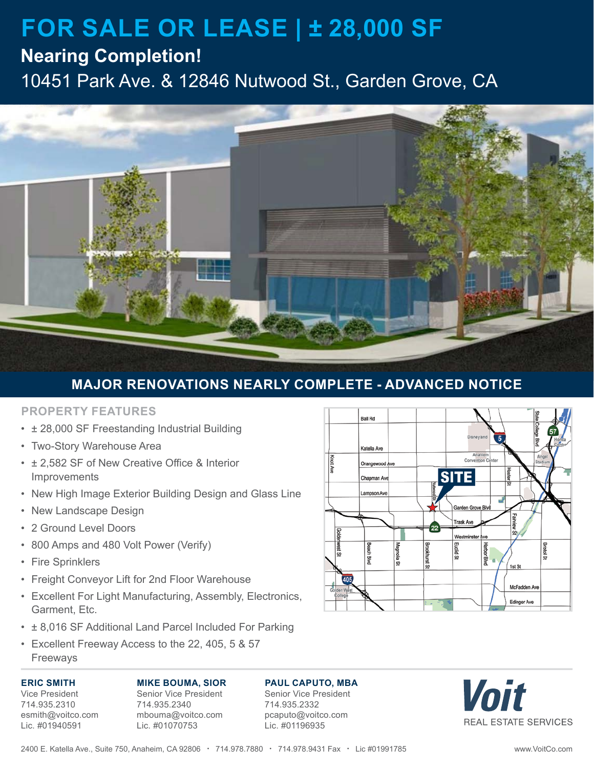# **FOR SALE OR LEASE | ± 28,000 SF**

### **Nearing Completion!**

10451 Park Ave. & 12846 Nutwood St., Garden Grove, CA



### **MAJOR RENOVATIONS NEARLY COMPLETE - ADVANCED NOTICE**

### **PROPERTY FEATURES**

- ± 28,000 SF Freestanding Industrial Building
- Two-Story Warehouse Area
- ± 2,582 SF of New Creative Office & Interior Improvements
- New High Image Exterior Building Design and Glass Line
- New Landscape Design
- 2 Ground Level Doors
- 800 Amps and 480 Volt Power (Verify)
- Fire Sprinklers
- Freight Conveyor Lift for 2nd Floor Warehouse
- Excellent For Light Manufacturing, Assembly, Electronics, Garment, Etc.
- ± 8,016 SF Additional Land Parcel Included For Parking
- Excellent Freeway Access to the 22, 405, 5 & 57 Freeways

### **ERIC SMITH**

Vice President 714.935.2310 esmith@voitco.com Lic. #01940591

**MIKE BOUMA, SIOR** Senior Vice President 714.935.2340 mbouma@voitco.com Lic. #01070753

### **PAUL CAPUTO, MBA**

Senior Vice President 714.935.2332 pcaputo@voitco.com Lic. #01196935



Voit **REAL ESTATE SERVICES**